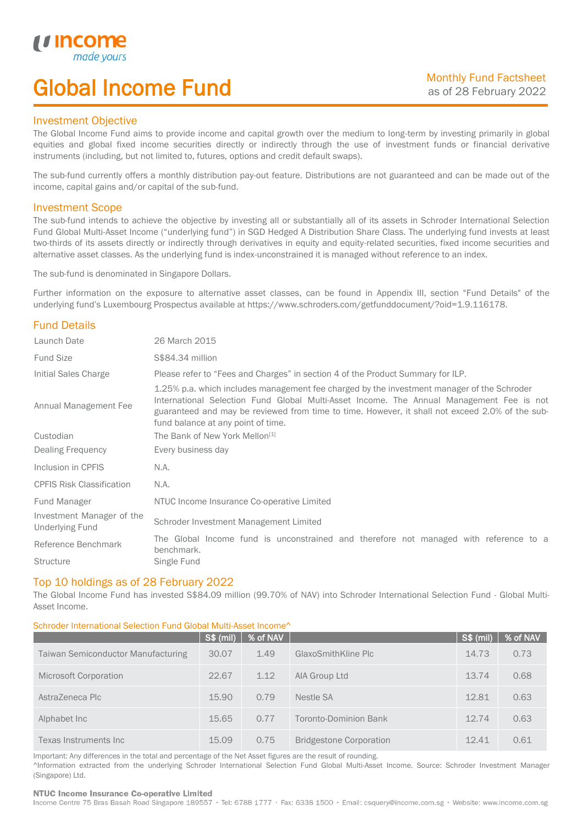# Global Income Fund

## Investment Objective

u incor

I

The Global Income Fund aims to provide income and capital growth over the medium to long-term by investing primarily in global equities and global fixed income securities directly or indirectly through the use of investment funds or financial derivative instruments (including, but not limited to, futures, options and credit default swaps).

The sub-fund currently offers a monthly distribution pay-out feature. Distributions are not guaranteed and can be made out of the income, capital gains and/or capital of the sub-fund.

## Investment Scope

The sub-fund intends to achieve the objective by investing all or substantially all of its assets in Schroder International Selection Fund Global Multi-Asset Income ("underlying fund") in SGD Hedged A Distribution Share Class. The underlying fund invests at least two-thirds of its assets directly or indirectly through derivatives in equity and equity-related securities, fixed income securities and alternative asset classes. As the underlying fund is index-unconstrained it is managed without reference to an index.

The sub-fund is denominated in Singapore Dollars.

Further information on the exposure to alternative asset classes, can be found in Appendix III, section "Fund Details" of the underlying fund's Luxembourg Prospectus available at https://www.schroders.com/getfunddocument/?oid=1.9.116178.

# Fund Details

| Launch Date                                         | 26 March 2015                                                                                                                                                                                                                                                                                                                   |  |  |  |  |
|-----------------------------------------------------|---------------------------------------------------------------------------------------------------------------------------------------------------------------------------------------------------------------------------------------------------------------------------------------------------------------------------------|--|--|--|--|
| <b>Fund Size</b>                                    | S\$84.34 million                                                                                                                                                                                                                                                                                                                |  |  |  |  |
| Initial Sales Charge                                | Please refer to "Fees and Charges" in section 4 of the Product Summary for ILP.                                                                                                                                                                                                                                                 |  |  |  |  |
| Annual Management Fee                               | 1.25% p.a. which includes management fee charged by the investment manager of the Schroder<br>International Selection Fund Global Multi-Asset Income. The Annual Management Fee is not<br>guaranteed and may be reviewed from time to time. However, it shall not exceed 2.0% of the sub-<br>fund balance at any point of time. |  |  |  |  |
| Custodian                                           | The Bank of New York Mellon <sup>[1]</sup>                                                                                                                                                                                                                                                                                      |  |  |  |  |
| Dealing Frequency                                   | Every business day                                                                                                                                                                                                                                                                                                              |  |  |  |  |
| Inclusion in CPFIS                                  | N.A.                                                                                                                                                                                                                                                                                                                            |  |  |  |  |
| <b>CPFIS Risk Classification</b>                    | N.A.                                                                                                                                                                                                                                                                                                                            |  |  |  |  |
| Fund Manager                                        | NTUC Income Insurance Co-operative Limited                                                                                                                                                                                                                                                                                      |  |  |  |  |
| Investment Manager of the<br><b>Underlying Fund</b> | Schroder Investment Management Limited                                                                                                                                                                                                                                                                                          |  |  |  |  |
| Reference Benchmark                                 | The Global Income fund is unconstrained and therefore not managed with reference to a<br>benchmark.                                                                                                                                                                                                                             |  |  |  |  |
| <b>Structure</b>                                    | Single Fund                                                                                                                                                                                                                                                                                                                     |  |  |  |  |

## Top 10 holdings as of 28 February 2022

The Global Income Fund has invested S\$84.09 million (99.70% of NAV) into Schroder International Selection Fund - Global Multi-Asset Income.

### Schroder International Selection Fund Global Multi-Asset Income^

|                                    | <b>S\$ (mil)</b> | % of NAV |                                | S\$ (mil) | % of NAV |
|------------------------------------|------------------|----------|--------------------------------|-----------|----------|
| Taiwan Semiconductor Manufacturing | 30.07            | 1.49     | GlaxoSmithKline Plc            | 14.73     | 0.73     |
| Microsoft Corporation              | 22.67            | 1.12     | AIA Group Ltd                  | 13.74     | 0.68     |
| AstraZeneca Plc                    | 15.90            | 0.79     | Nestle SA                      | 12.81     | 0.63     |
| Alphabet Inc                       | 15.65            | 0.77     | Toronto-Dominion Bank          | 12.74     | 0.63     |
| Texas Instruments Inc              | 15.09            | 0.75     | <b>Bridgestone Corporation</b> | 12.41     | 0.61     |

Important: Any differences in the total and percentage of the Net Asset figures are the result of rounding. ^Information extracted from the underlying Schroder International Selection Fund Global Multi-Asset Income. Source: Schroder Investment Manager (Singapore) Ltd.

#### NTUC Income Insurance Co-operative Limited

Income Centre 75 Bras Basah Road Singapore 189557 · Tel: 6788 1777 · Fax: 6338 1500 · Email: csquery@income.com.sg · Website: www.income.com.sg